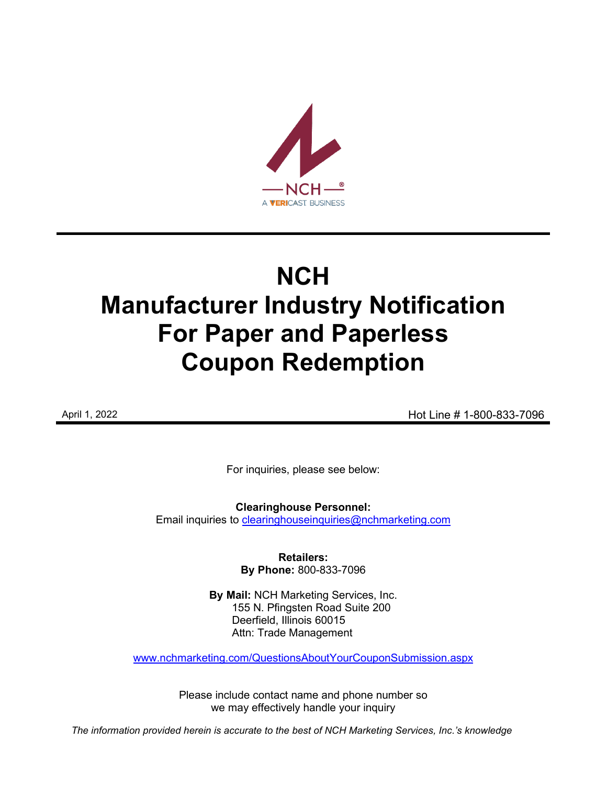

# **NCH Manufacturer Industry Notification For Paper and Paperless Coupon Redemption**

April 1, 2022 **April 1, 2022 Hot Line # 1-800-833-7096** 

For inquiries, please see below:

**Clearinghouse Personnel:**  Email inquiries to [clearinghouseinquiries@nchmarketing.com](mailto:clearinghouseinquiries@nchmarketing.com)

> **Retailers: By Phone:** 800-833-7096

**By Mail:** NCH Marketing Services, Inc. 155 N. Pfingsten Road Suite 200 Deerfield, Illinois 60015 Attn: Trade Management

[www.nchmarketing.com/QuestionsAboutYourCouponSubmission.aspx](http://www.nchmarketing.com/QuestionsAboutYourCouponSubmission.aspx)

Please include contact name and phone number so we may effectively handle your inquiry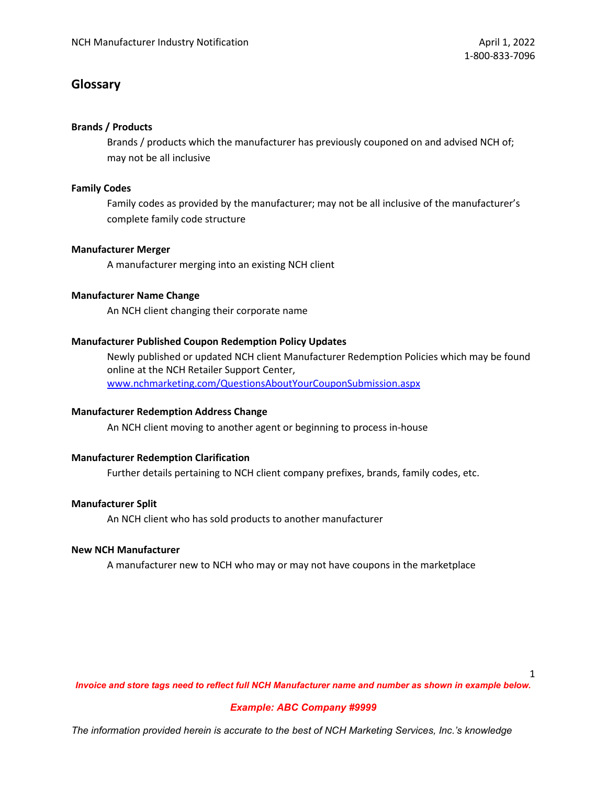# **Glossary**

## **Brands / Products**

Brands / products which the manufacturer has previously couponed on and advised NCH of; may not be all inclusive

## **Family Codes**

Family codes as provided by the manufacturer; may not be all inclusive of the manufacturer's complete family code structure

## **Manufacturer Merger**

A manufacturer merging into an existing NCH client

## **Manufacturer Name Change**

An NCH client changing their corporate name

## **Manufacturer Published Coupon Redemption Policy Updates**

Newly published or updated NCH client Manufacturer Redemption Policies which may be found online at the NCH Retailer Support Center, [www.nchmarketing.com/QuestionsAboutYourCouponSubmission.aspx](http://www.nchmarketing.com/QuestionsAboutYourCouponSubmission.aspx)

## **Manufacturer Redemption Address Change**

An NCH client moving to another agent or beginning to process in-house

## **Manufacturer Redemption Clarification**

Further details pertaining to NCH client company prefixes, brands, family codes, etc.

## **Manufacturer Split**

An NCH client who has sold products to another manufacturer

#### **New NCH Manufacturer**

A manufacturer new to NCH who may or may not have coupons in the marketplace

1

*Invoice and store tags need to reflect full NCH Manufacturer name and number as shown in example below.*

## *Example: ABC Company #9999*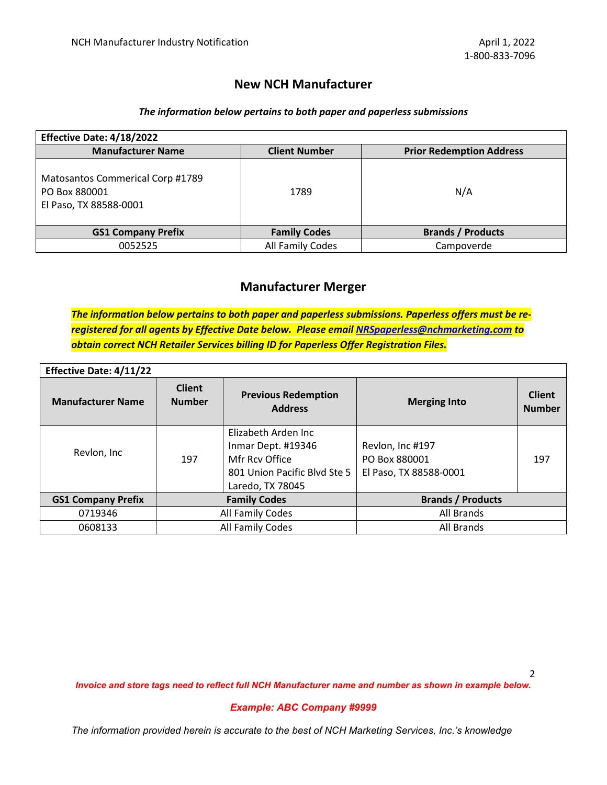## **New NCH Manufacturer**

## *The information below pertains to both paper and paperless submissions*

| Effective Date: 4/18/2022                                                   |                      |                                 |  |
|-----------------------------------------------------------------------------|----------------------|---------------------------------|--|
| <b>Manufacturer Name</b>                                                    | <b>Client Number</b> | <b>Prior Redemption Address</b> |  |
| Matosantos Commerical Corp #1789<br>PO Box 880001<br>El Paso, TX 88588-0001 | 1789                 | N/A                             |  |
| <b>GS1 Company Prefix</b>                                                   | <b>Family Codes</b>  | <b>Brands / Products</b>        |  |
| 0052525                                                                     | All Family Codes     | Campoverde                      |  |

# **Manufacturer Merger**

*The information below pertains to both paper and paperless submissions. Paperless offers must be reregistered for all agents by Effective Date below. Please email [NRSpaperless@nchmarketing.com](mailto:NRSpaperless@nchmarketing.com) to obtain correct NCH Retailer Services billing ID for Paperless Offer Registration Files.*

| <b>Effective Date: 4/11/22</b> |                                |                                                                                                                 |                                                             |                                |  |  |
|--------------------------------|--------------------------------|-----------------------------------------------------------------------------------------------------------------|-------------------------------------------------------------|--------------------------------|--|--|
| <b>Manufacturer Name</b>       | <b>Client</b><br><b>Number</b> | <b>Previous Redemption</b><br><b>Address</b>                                                                    | <b>Merging Into</b>                                         | <b>Client</b><br><b>Number</b> |  |  |
| Revlon, Inc                    | 197                            | Elizabeth Arden Inc<br>Inmar Dept. #19346<br>Mfr Rcy Office<br>801 Union Pacific Blvd Ste 5<br>Laredo, TX 78045 | Revlon, Inc #197<br>PO Box 880001<br>El Paso, TX 88588-0001 | 197                            |  |  |
| <b>GS1 Company Prefix</b>      | <b>Family Codes</b>            |                                                                                                                 | <b>Brands / Products</b>                                    |                                |  |  |
| 0719346                        | All Family Codes               |                                                                                                                 | All Brands                                                  |                                |  |  |
| 0608133                        | All Family Codes               |                                                                                                                 | All Brands                                                  |                                |  |  |

*Invoice and store tags need to reflect full NCH Manufacturer name and number as shown in example below.*

#### *Example: ABC Company #9999*

*The information provided herein is accurate to the best of NCH Marketing Services, Inc.'s knowledge*

2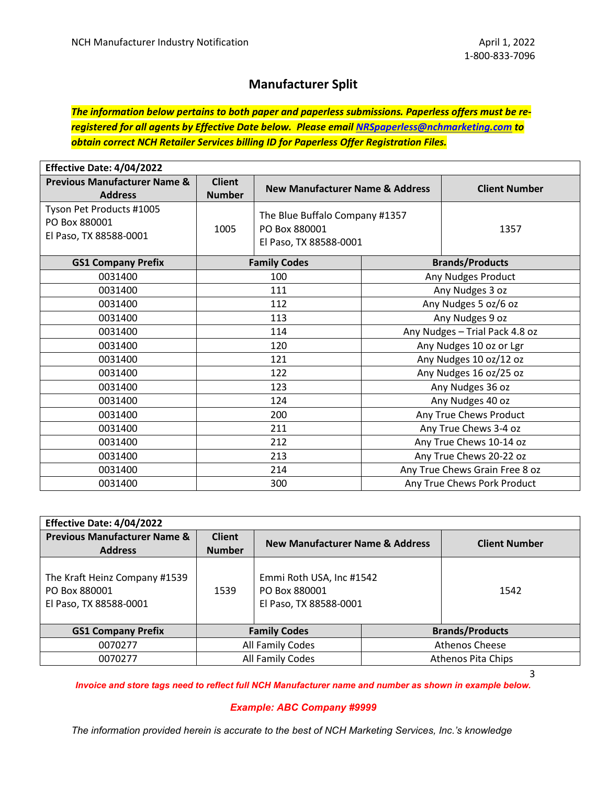# **Manufacturer Split**

*The information below pertains to both paper and paperless submissions. Paperless offers must be reregistered for all agents by Effective Date below. Please email [NRSpaperless@nchmarketing.com](mailto:NRSpaperless@nchmarketing.com) to obtain correct NCH Retailer Services billing ID for Paperless Offer Registration Files.*

| Effective Date: 4/04/2022                                           |                                |                                                                           |                                |                                |  |
|---------------------------------------------------------------------|--------------------------------|---------------------------------------------------------------------------|--------------------------------|--------------------------------|--|
| <b>Previous Manufacturer Name &amp;</b><br><b>Address</b>           | <b>Client</b><br><b>Number</b> | <b>New Manufacturer Name &amp; Address</b>                                |                                | <b>Client Number</b>           |  |
| Tyson Pet Products #1005<br>PO Box 880001<br>El Paso, TX 88588-0001 | 1005                           | The Blue Buffalo Company #1357<br>PO Box 880001<br>El Paso, TX 88588-0001 |                                | 1357                           |  |
| <b>GS1 Company Prefix</b>                                           |                                | <b>Family Codes</b>                                                       |                                | <b>Brands/Products</b>         |  |
| 0031400                                                             |                                | 100                                                                       |                                | Any Nudges Product             |  |
| 0031400                                                             |                                | 111                                                                       | Any Nudges 3 oz                |                                |  |
| 0031400                                                             | 112                            |                                                                           |                                | Any Nudges 5 oz/6 oz           |  |
| 0031400                                                             | 113                            |                                                                           | Any Nudges 9 oz                |                                |  |
| 0031400                                                             | 114                            |                                                                           | Any Nudges - Trial Pack 4.8 oz |                                |  |
| 0031400                                                             | 120                            |                                                                           |                                | Any Nudges 10 oz or Lgr        |  |
| 0031400                                                             | 121                            |                                                                           |                                | Any Nudges 10 oz/12 oz         |  |
| 0031400                                                             | 122                            |                                                                           |                                | Any Nudges 16 oz/25 oz         |  |
| 0031400                                                             |                                | 123                                                                       |                                | Any Nudges 36 oz               |  |
| 0031400                                                             |                                | 124                                                                       |                                | Any Nudges 40 oz               |  |
| 0031400                                                             | 200                            |                                                                           |                                | Any True Chews Product         |  |
| 0031400                                                             | 211                            |                                                                           |                                | Any True Chews 3-4 oz          |  |
| 0031400                                                             | 212                            |                                                                           |                                | Any True Chews 10-14 oz        |  |
| 0031400                                                             | 213                            |                                                                           | Any True Chews 20-22 oz        |                                |  |
| 0031400                                                             | 214                            |                                                                           |                                | Any True Chews Grain Free 8 oz |  |
| 0031400                                                             | 300                            |                                                                           |                                | Any True Chews Pork Product    |  |

| Effective Date: 4/04/2022                                                |                                |                                                                     |  |                        |
|--------------------------------------------------------------------------|--------------------------------|---------------------------------------------------------------------|--|------------------------|
| <b>Previous Manufacturer Name &amp;</b><br><b>Address</b>                | <b>Client</b><br><b>Number</b> | <b>New Manufacturer Name &amp; Address</b>                          |  | <b>Client Number</b>   |
| The Kraft Heinz Company #1539<br>PO Box 880001<br>El Paso, TX 88588-0001 | 1539                           | Emmi Roth USA, Inc #1542<br>PO Box 880001<br>El Paso, TX 88588-0001 |  | 1542                   |
| <b>GS1 Company Prefix</b>                                                | <b>Family Codes</b>            |                                                                     |  | <b>Brands/Products</b> |
| 0070277                                                                  | All Family Codes               |                                                                     |  | Athenos Cheese         |
| 0070277                                                                  | All Family Codes               |                                                                     |  | Athenos Pita Chips     |

3

*Invoice and store tags need to reflect full NCH Manufacturer name and number as shown in example below.*

#### *Example: ABC Company #9999*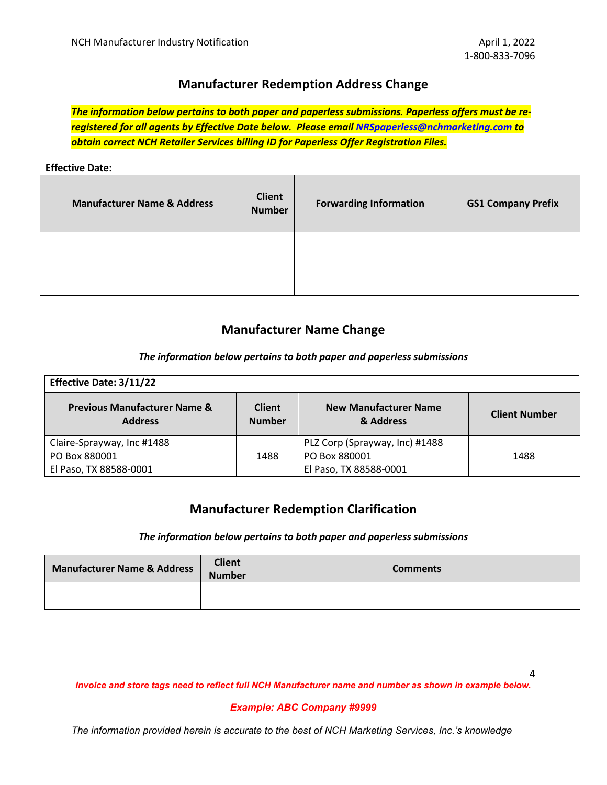# **Manufacturer Redemption Address Change**

*The information below pertains to both paper and paperless submissions. Paperless offers must be reregistered for all agents by Effective Date below. Please email [NRSpaperless@nchmarketing.com](mailto:NRSpaperless@nchmarketing.com) to obtain correct NCH Retailer Services billing ID for Paperless Offer Registration Files.*

| <b>Effective Date:</b>                 |                                |                               |                           |
|----------------------------------------|--------------------------------|-------------------------------|---------------------------|
| <b>Manufacturer Name &amp; Address</b> | <b>Client</b><br><b>Number</b> | <b>Forwarding Information</b> | <b>GS1 Company Prefix</b> |
|                                        |                                |                               |                           |

# **Manufacturer Name Change**

## *The information below pertains to both paper and paperless submissions*

| <b>Effective Date: 3/11/22</b>                            |                                |                                           |                      |
|-----------------------------------------------------------|--------------------------------|-------------------------------------------|----------------------|
| <b>Previous Manufacturer Name &amp;</b><br><b>Address</b> | <b>Client</b><br><b>Number</b> | <b>New Manufacturer Name</b><br>& Address | <b>Client Number</b> |
| Claire-Sprayway, Inc #1488                                |                                | PLZ Corp (Sprayway, Inc) #1488            |                      |
| PO Box 880001                                             | 1488                           | PO Box 880001                             | 1488                 |
| El Paso, TX 88588-0001                                    |                                | El Paso, TX 88588-0001                    |                      |

# **Manufacturer Redemption Clarification**

#### *The information below pertains to both paper and paperless submissions*

| <b>Manufacturer Name &amp; Address</b> | <b>Client</b><br><b>Number</b> | <b>Comments</b> |
|----------------------------------------|--------------------------------|-----------------|
|                                        |                                |                 |

*Invoice and store tags need to reflect full NCH Manufacturer name and number as shown in example below.*

#### *Example: ABC Company #9999*

*The information provided herein is accurate to the best of NCH Marketing Services, Inc.'s knowledge*

4